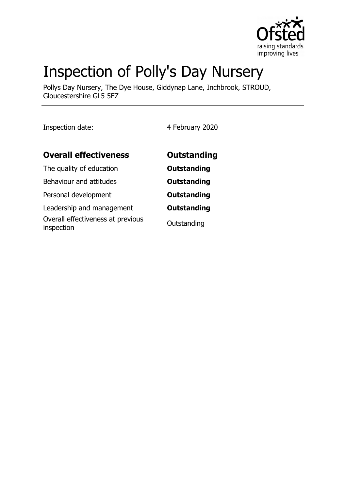

# Inspection of Polly's Day Nursery

Pollys Day Nursery, The Dye House, Giddynap Lane, Inchbrook, STROUD, Gloucestershire GL5 5EZ

Inspection date: 4 February 2020

| <b>Overall effectiveness</b>                    | <b>Outstanding</b> |
|-------------------------------------------------|--------------------|
| The quality of education                        | <b>Outstanding</b> |
| Behaviour and attitudes                         | <b>Outstanding</b> |
| Personal development                            | <b>Outstanding</b> |
| Leadership and management                       | <b>Outstanding</b> |
| Overall effectiveness at previous<br>inspection | Outstanding        |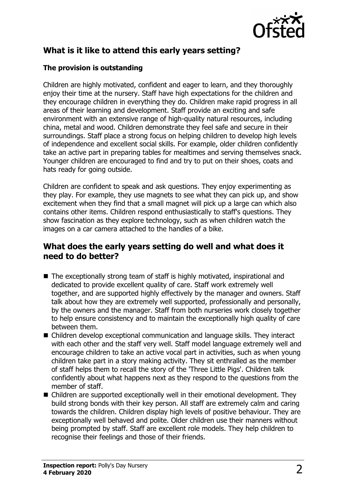

# **What is it like to attend this early years setting?**

#### **The provision is outstanding**

Children are highly motivated, confident and eager to learn, and they thoroughly enjoy their time at the nursery. Staff have high expectations for the children and they encourage children in everything they do. Children make rapid progress in all areas of their learning and development. Staff provide an exciting and safe environment with an extensive range of high-quality natural resources, including china, metal and wood. Children demonstrate they feel safe and secure in their surroundings. Staff place a strong focus on helping children to develop high levels of independence and excellent social skills. For example, older children confidently take an active part in preparing tables for mealtimes and serving themselves snack. Younger children are encouraged to find and try to put on their shoes, coats and hats ready for going outside.

Children are confident to speak and ask questions. They enjoy experimenting as they play. For example, they use magnets to see what they can pick up, and show excitement when they find that a small magnet will pick up a large can which also contains other items. Children respond enthusiastically to staff's questions. They show fascination as they explore technology, such as when children watch the images on a car camera attached to the handles of a bike.

### **What does the early years setting do well and what does it need to do better?**

- $\blacksquare$  The exceptionally strong team of staff is highly motivated, inspirational and dedicated to provide excellent quality of care. Staff work extremely well together, and are supported highly effectively by the manager and owners. Staff talk about how they are extremely well supported, professionally and personally, by the owners and the manager. Staff from both nurseries work closely together to help ensure consistency and to maintain the exceptionally high quality of care between them.
- $\blacksquare$  Children develop exceptional communication and language skills. They interact with each other and the staff very well. Staff model language extremely well and encourage children to take an active vocal part in activities, such as when young children take part in a story making activity. They sit enthralled as the member of staff helps them to recall the story of the 'Three Little Pigs'. Children talk confidently about what happens next as they respond to the questions from the member of staff.
- $\blacksquare$  Children are supported exceptionally well in their emotional development. They build strong bonds with their key person. All staff are extremely calm and caring towards the children. Children display high levels of positive behaviour. They are exceptionally well behaved and polite. Older children use their manners without being prompted by staff. Staff are excellent role models. They help children to recognise their feelings and those of their friends.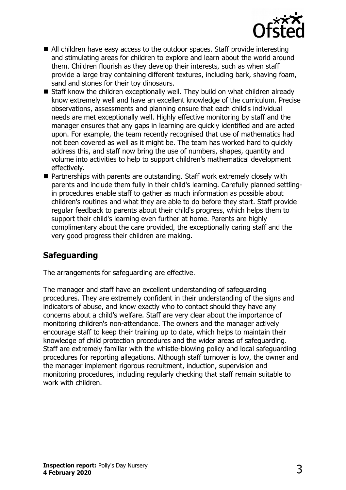

- $\blacksquare$  All children have easy access to the outdoor spaces. Staff provide interesting and stimulating areas for children to explore and learn about the world around them. Children flourish as they develop their interests, such as when staff provide a large tray containing different textures, including bark, shaving foam, sand and stones for their toy dinosaurs.
- Staff know the children exceptionally well. They build on what children already know extremely well and have an excellent knowledge of the curriculum. Precise observations, assessments and planning ensure that each child's individual needs are met exceptionally well. Highly effective monitoring by staff and the manager ensures that any gaps in learning are quickly identified and are acted upon. For example, the team recently recognised that use of mathematics had not been covered as well as it might be. The team has worked hard to quickly address this, and staff now bring the use of numbers, shapes, quantity and volume into activities to help to support children's mathematical development effectively.
- Partnerships with parents are outstanding. Staff work extremely closely with parents and include them fully in their child's learning. Carefully planned settlingin procedures enable staff to gather as much information as possible about children's routines and what they are able to do before they start. Staff provide regular feedback to parents about their child's progress, which helps them to support their child's learning even further at home. Parents are highly complimentary about the care provided, the exceptionally caring staff and the very good progress their children are making.

## **Safeguarding**

The arrangements for safeguarding are effective.

The manager and staff have an excellent understanding of safeguarding procedures. They are extremely confident in their understanding of the signs and indicators of abuse, and know exactly who to contact should they have any concerns about a child's welfare. Staff are very clear about the importance of monitoring children's non-attendance. The owners and the manager actively encourage staff to keep their training up to date, which helps to maintain their knowledge of child protection procedures and the wider areas of safeguarding. Staff are extremely familiar with the whistle-blowing policy and local safeguarding procedures for reporting allegations. Although staff turnover is low, the owner and the manager implement rigorous recruitment, induction, supervision and monitoring procedures, including regularly checking that staff remain suitable to work with children.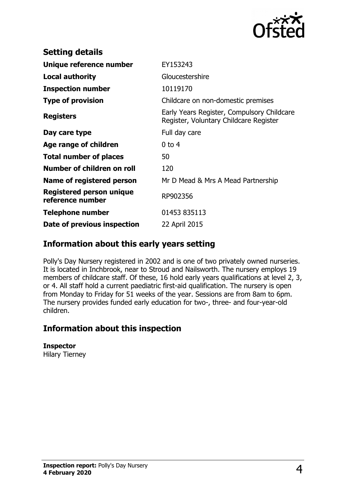

| <b>Setting details</b>                              |                                                                                      |
|-----------------------------------------------------|--------------------------------------------------------------------------------------|
| Unique reference number                             | EY153243                                                                             |
| Local authority                                     | Gloucestershire                                                                      |
| <b>Inspection number</b>                            | 10119170                                                                             |
| <b>Type of provision</b>                            | Childcare on non-domestic premises                                                   |
| <b>Registers</b>                                    | Early Years Register, Compulsory Childcare<br>Register, Voluntary Childcare Register |
| Day care type                                       | Full day care                                                                        |
| Age range of children                               | $0$ to 4                                                                             |
| <b>Total number of places</b>                       | 50                                                                                   |
| Number of children on roll                          | 120                                                                                  |
| Name of registered person                           | Mr D Mead & Mrs A Mead Partnership                                                   |
| <b>Registered person unique</b><br>reference number | RP902356                                                                             |
| <b>Telephone number</b>                             | 01453 835113                                                                         |
| Date of previous inspection                         | 22 April 2015                                                                        |

## **Information about this early years setting**

Polly's Day Nursery registered in 2002 and is one of two privately owned nurseries. It is located in Inchbrook, near to Stroud and Nailsworth. The nursery employs 19 members of childcare staff. Of these, 16 hold early years qualifications at level 2, 3, or 4. All staff hold a current paediatric first-aid qualification. The nursery is open from Monday to Friday for 51 weeks of the year. Sessions are from 8am to 6pm. The nursery provides funded early education for two-, three- and four-year-old children.

## **Information about this inspection**

**Inspector** Hilary Tierney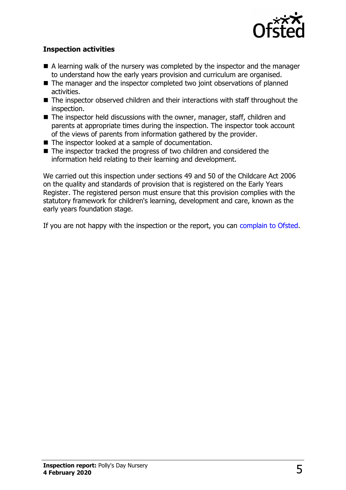

#### **Inspection activities**

- $\blacksquare$  A learning walk of the nursery was completed by the inspector and the manager to understand how the early years provision and curriculum are organised.
- $\blacksquare$  The manager and the inspector completed two joint observations of planned activities.
- $\blacksquare$  The inspector observed children and their interactions with staff throughout the inspection.
- $\blacksquare$  The inspector held discussions with the owner, manager, staff, children and parents at appropriate times during the inspection. The inspector took account of the views of parents from information gathered by the provider.
- $\blacksquare$  The inspector looked at a sample of documentation.
- $\blacksquare$  The inspector tracked the progress of two children and considered the information held relating to their learning and development.

We carried out this inspection under sections 49 and 50 of the Childcare Act 2006 on the quality and standards of provision that is registered on the Early Years Register. The registered person must ensure that this provision complies with the statutory framework for children's learning, development and care, known as the early years foundation stage.

If you are not happy with the inspection or the report, you can [complain to Ofsted.](http://www.gov.uk/complain-ofsted-report)